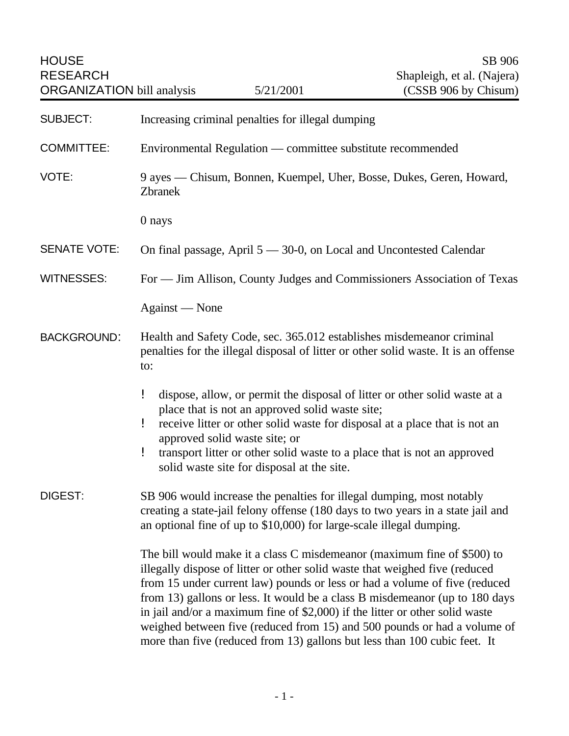| <b>HOUSE</b><br><b>RESEARCH</b><br><b>ORGANIZATION</b> bill analysis | 5/21/2001                                                                                                                                                                                                                                                                                                                                                                                                                                                                                                                                                    | SB 906<br>Shapleigh, et al. (Najera)<br>(CSSB 906 by Chisum) |
|----------------------------------------------------------------------|--------------------------------------------------------------------------------------------------------------------------------------------------------------------------------------------------------------------------------------------------------------------------------------------------------------------------------------------------------------------------------------------------------------------------------------------------------------------------------------------------------------------------------------------------------------|--------------------------------------------------------------|
| <b>SUBJECT:</b>                                                      | Increasing criminal penalties for illegal dumping                                                                                                                                                                                                                                                                                                                                                                                                                                                                                                            |                                                              |
| <b>COMMITTEE:</b>                                                    | Environmental Regulation — committee substitute recommended                                                                                                                                                                                                                                                                                                                                                                                                                                                                                                  |                                                              |
| VOTE:                                                                | 9 ayes — Chisum, Bonnen, Kuempel, Uher, Bosse, Dukes, Geren, Howard,<br><b>Zbranek</b>                                                                                                                                                                                                                                                                                                                                                                                                                                                                       |                                                              |
|                                                                      | 0 nays                                                                                                                                                                                                                                                                                                                                                                                                                                                                                                                                                       |                                                              |
| <b>SENATE VOTE:</b>                                                  | On final passage, April $5 - 30-0$ , on Local and Uncontested Calendar                                                                                                                                                                                                                                                                                                                                                                                                                                                                                       |                                                              |
| <b>WITNESSES:</b>                                                    | For — Jim Allison, County Judges and Commissioners Association of Texas                                                                                                                                                                                                                                                                                                                                                                                                                                                                                      |                                                              |
|                                                                      | Against — None                                                                                                                                                                                                                                                                                                                                                                                                                                                                                                                                               |                                                              |
| <b>BACKGROUND:</b>                                                   | Health and Safety Code, sec. 365.012 establishes misdemeanor criminal<br>penalties for the illegal disposal of litter or other solid waste. It is an offense<br>to:                                                                                                                                                                                                                                                                                                                                                                                          |                                                              |
|                                                                      | ŗ<br>dispose, allow, or permit the disposal of litter or other solid waste at a<br>place that is not an approved solid waste site;<br>receive litter or other solid waste for disposal at a place that is not an<br>Ţ<br>approved solid waste site; or<br>ï<br>transport litter or other solid waste to a place that is not an approved<br>solid waste site for disposal at the site.                                                                                                                                                                        |                                                              |
| <b>DIGEST:</b>                                                       | SB 906 would increase the penalties for illegal dumping, most notably<br>creating a state-jail felony offense (180 days to two years in a state jail and<br>an optional fine of up to \$10,000) for large-scale illegal dumping.                                                                                                                                                                                                                                                                                                                             |                                                              |
|                                                                      | The bill would make it a class C misdemeanor (maximum fine of \$500) to<br>illegally dispose of litter or other solid waste that weighed five (reduced<br>from 15 under current law) pounds or less or had a volume of five (reduced<br>from 13) gallons or less. It would be a class B misdemeanor (up to 180 days<br>in jail and/or a maximum fine of \$2,000) if the litter or other solid waste<br>weighed between five (reduced from 15) and 500 pounds or had a volume of<br>more than five (reduced from 13) gallons but less than 100 cubic feet. It |                                                              |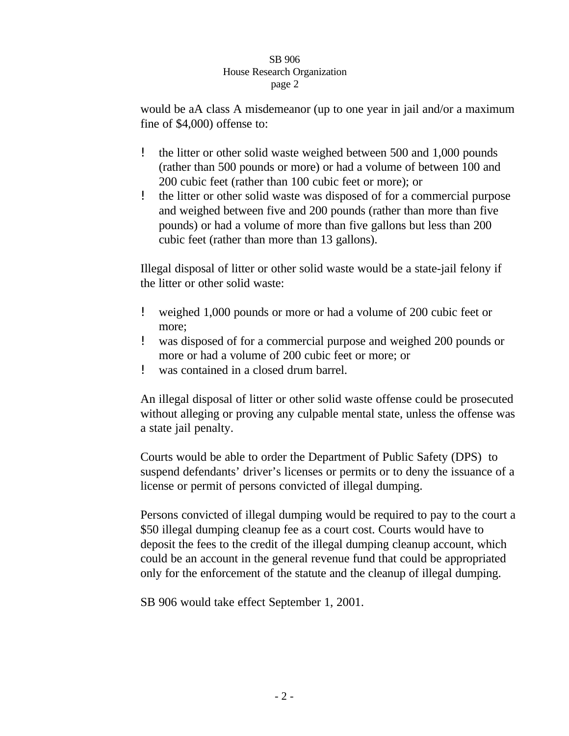would be aA class A misdemeanor (up to one year in jail and/or a maximum fine of \$4,000) offense to:

- ! the litter or other solid waste weighed between 500 and 1,000 pounds (rather than 500 pounds or more) or had a volume of between 100 and 200 cubic feet (rather than 100 cubic feet or more); or
- ! the litter or other solid waste was disposed of for a commercial purpose and weighed between five and 200 pounds (rather than more than five pounds) or had a volume of more than five gallons but less than 200 cubic feet (rather than more than 13 gallons).

Illegal disposal of litter or other solid waste would be a state-jail felony if the litter or other solid waste:

- ! weighed 1,000 pounds or more or had a volume of 200 cubic feet or more;
- ! was disposed of for a commercial purpose and weighed 200 pounds or more or had a volume of 200 cubic feet or more; or
- ! was contained in a closed drum barrel.

An illegal disposal of litter or other solid waste offense could be prosecuted without alleging or proving any culpable mental state, unless the offense was a state jail penalty.

Courts would be able to order the Department of Public Safety (DPS) to suspend defendants' driver's licenses or permits or to deny the issuance of a license or permit of persons convicted of illegal dumping.

Persons convicted of illegal dumping would be required to pay to the court a \$50 illegal dumping cleanup fee as a court cost. Courts would have to deposit the fees to the credit of the illegal dumping cleanup account, which could be an account in the general revenue fund that could be appropriated only for the enforcement of the statute and the cleanup of illegal dumping.

SB 906 would take effect September 1, 2001.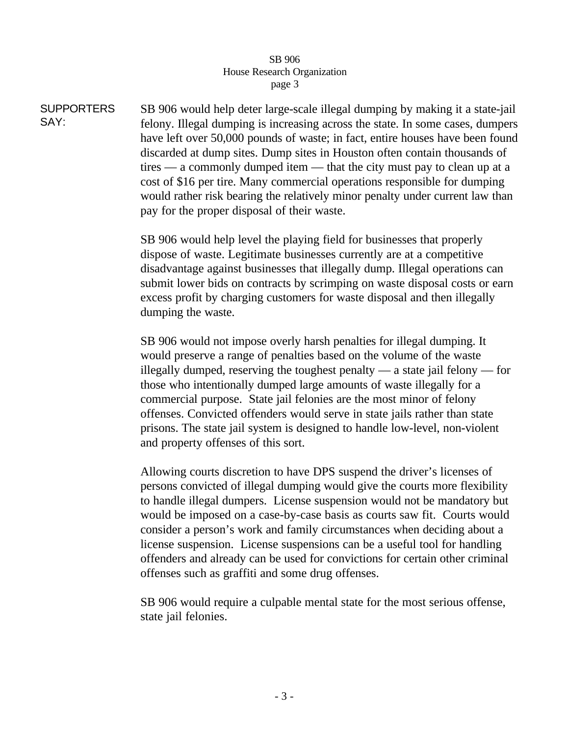**SUPPORTERS** SAY: SB 906 would help deter large-scale illegal dumping by making it a state-jail felony. Illegal dumping is increasing across the state. In some cases, dumpers have left over 50,000 pounds of waste; in fact, entire houses have been found discarded at dump sites. Dump sites in Houston often contain thousands of tires — a commonly dumped item — that the city must pay to clean up at a cost of \$16 per tire. Many commercial operations responsible for dumping would rather risk bearing the relatively minor penalty under current law than pay for the proper disposal of their waste.

> SB 906 would help level the playing field for businesses that properly dispose of waste. Legitimate businesses currently are at a competitive disadvantage against businesses that illegally dump. Illegal operations can submit lower bids on contracts by scrimping on waste disposal costs or earn excess profit by charging customers for waste disposal and then illegally dumping the waste.

> SB 906 would not impose overly harsh penalties for illegal dumping. It would preserve a range of penalties based on the volume of the waste illegally dumped, reserving the toughest penalty — a state jail felony — for those who intentionally dumped large amounts of waste illegally for a commercial purpose. State jail felonies are the most minor of felony offenses. Convicted offenders would serve in state jails rather than state prisons. The state jail system is designed to handle low-level, non-violent and property offenses of this sort.

> Allowing courts discretion to have DPS suspend the driver's licenses of persons convicted of illegal dumping would give the courts more flexibility to handle illegal dumpers. License suspension would not be mandatory but would be imposed on a case-by-case basis as courts saw fit. Courts would consider a person's work and family circumstances when deciding about a license suspension. License suspensions can be a useful tool for handling offenders and already can be used for convictions for certain other criminal offenses such as graffiti and some drug offenses.

SB 906 would require a culpable mental state for the most serious offense, state jail felonies.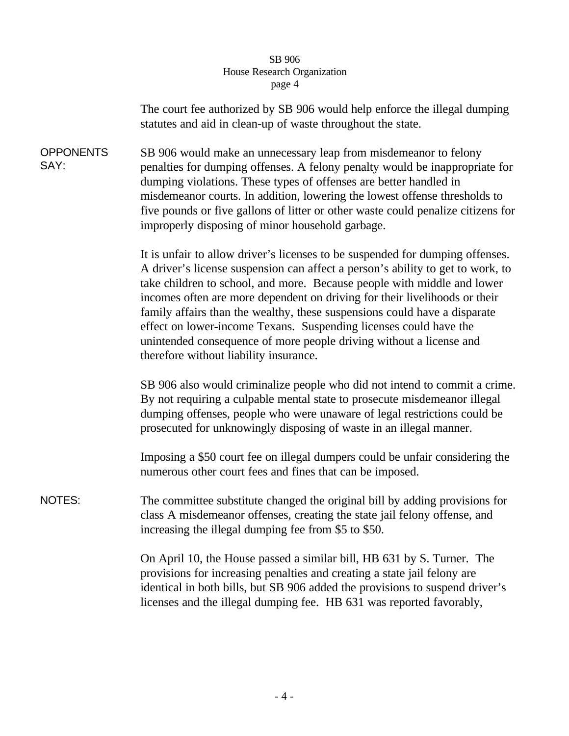|                          | The court fee authorized by SB 906 would help enforce the illegal dumping<br>statutes and aid in clean-up of waste throughout the state.                                                                                                                                                                                                                                                                                                                                                                                                                                                    |
|--------------------------|---------------------------------------------------------------------------------------------------------------------------------------------------------------------------------------------------------------------------------------------------------------------------------------------------------------------------------------------------------------------------------------------------------------------------------------------------------------------------------------------------------------------------------------------------------------------------------------------|
| <b>OPPONENTS</b><br>SAY: | SB 906 would make an unnecessary leap from misdemeanor to felony<br>penalties for dumping offenses. A felony penalty would be inappropriate for<br>dumping violations. These types of offenses are better handled in<br>misdemeanor courts. In addition, lowering the lowest offense thresholds to<br>five pounds or five gallons of litter or other waste could penalize citizens for<br>improperly disposing of minor household garbage.                                                                                                                                                  |
|                          | It is unfair to allow driver's licenses to be suspended for dumping offenses.<br>A driver's license suspension can affect a person's ability to get to work, to<br>take children to school, and more. Because people with middle and lower<br>incomes often are more dependent on driving for their livelihoods or their<br>family affairs than the wealthy, these suspensions could have a disparate<br>effect on lower-income Texans. Suspending licenses could have the<br>unintended consequence of more people driving without a license and<br>therefore without liability insurance. |
|                          | SB 906 also would criminalize people who did not intend to commit a crime.<br>By not requiring a culpable mental state to prosecute misdemeanor illegal<br>dumping offenses, people who were unaware of legal restrictions could be<br>prosecuted for unknowingly disposing of waste in an illegal manner.                                                                                                                                                                                                                                                                                  |
|                          | Imposing a \$50 court fee on illegal dumpers could be unfair considering the<br>numerous other court fees and fines that can be imposed.                                                                                                                                                                                                                                                                                                                                                                                                                                                    |
| <b>NOTES:</b>            | The committee substitute changed the original bill by adding provisions for<br>class A misdemeanor offenses, creating the state jail felony offense, and<br>increasing the illegal dumping fee from \$5 to \$50.                                                                                                                                                                                                                                                                                                                                                                            |
|                          | On April 10, the House passed a similar bill, HB 631 by S. Turner. The<br>provisions for increasing penalties and creating a state jail felony are<br>identical in both bills, but SB 906 added the provisions to suspend driver's<br>licenses and the illegal dumping fee. HB 631 was reported favorably,                                                                                                                                                                                                                                                                                  |